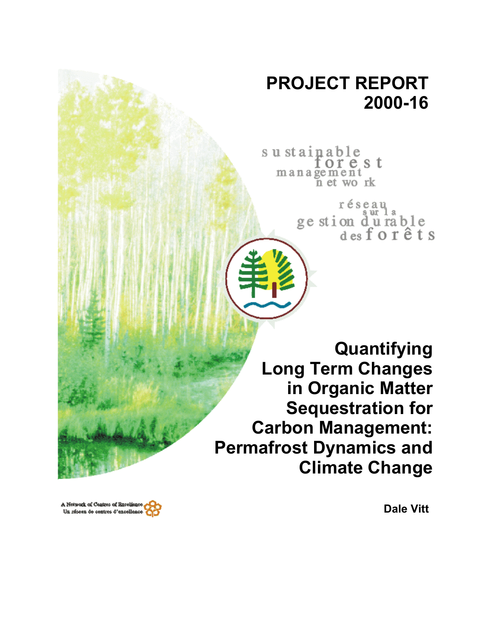# **PROJECT REPORT 2000-16**

sustainable orest management n et work

> réseau ge stion durable<br>desforêts

**Quantifying Long Term Changes in Organic Matter Sequestration for Carbon Management: Permafrost Dynamics and Climate Change** 

A Network of Centres of Baceliano Un réseau de centres d'excellenc

**Dale Vitt**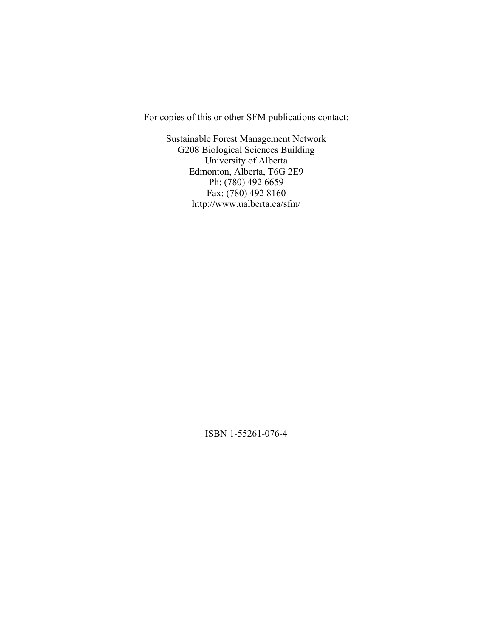For copies of this or other SFM publications contact:

Sustainable Forest Management Network G208 Biological Sciences Building University of Alberta Edmonton, Alberta, T6G 2E9 Ph: (780) 492 6659 Fax: (780) 492 8160 http://www.ualberta.ca/sfm/

ISBN 1-55261-076-4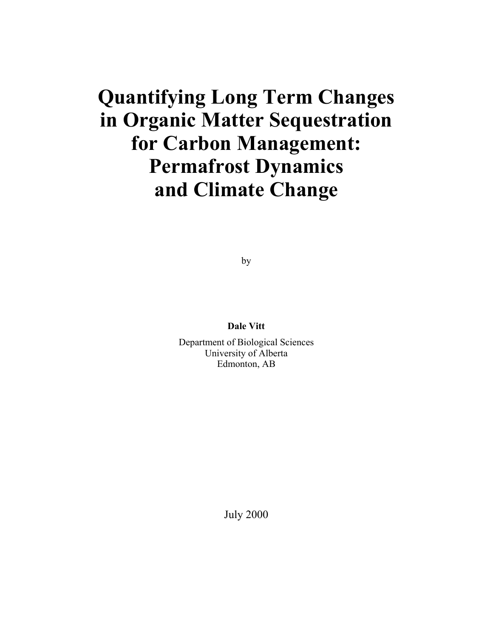# **Quantifying Long Term Changes in Organic Matter Sequestration for Carbon Management: Permafrost Dynamics and Climate Change**

by

**Dale Vitt** 

Department of Biological Sciences University of Alberta Edmonton, AB

July 2000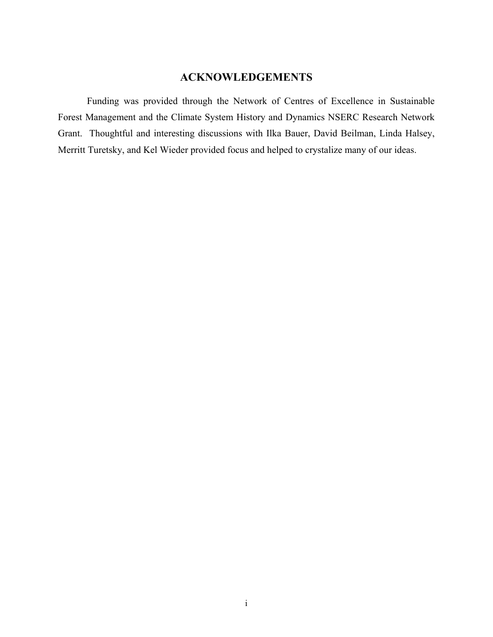## **ACKNOWLEDGEMENTS**

Funding was provided through the Network of Centres of Excellence in Sustainable Forest Management and the Climate System History and Dynamics NSERC Research Network Grant. Thoughtful and interesting discussions with Ilka Bauer, David Beilman, Linda Halsey, Merritt Turetsky, and Kel Wieder provided focus and helped to crystalize many of our ideas.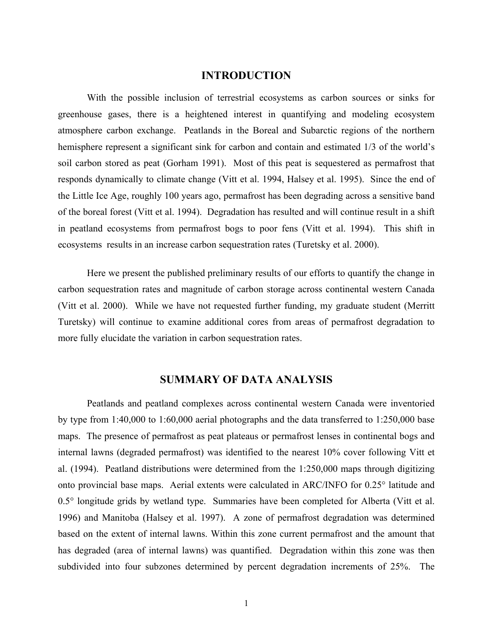#### **INTRODUCTION**

With the possible inclusion of terrestrial ecosystems as carbon sources or sinks for greenhouse gases, there is a heightened interest in quantifying and modeling ecosystem atmosphere carbon exchange. Peatlands in the Boreal and Subarctic regions of the northern hemisphere represent a significant sink for carbon and contain and estimated 1/3 of the world's soil carbon stored as peat (Gorham 1991). Most of this peat is sequestered as permafrost that responds dynamically to climate change (Vitt et al. 1994, Halsey et al. 1995). Since the end of the Little Ice Age, roughly 100 years ago, permafrost has been degrading across a sensitive band of the boreal forest (Vitt et al. 1994). Degradation has resulted and will continue result in a shift in peatland ecosystems from permafrost bogs to poor fens (Vitt et al. 1994). This shift in ecosystems results in an increase carbon sequestration rates (Turetsky et al. 2000).

Here we present the published preliminary results of our efforts to quantify the change in carbon sequestration rates and magnitude of carbon storage across continental western Canada (Vitt et al. 2000). While we have not requested further funding, my graduate student (Merritt Turetsky) will continue to examine additional cores from areas of permafrost degradation to more fully elucidate the variation in carbon sequestration rates.

#### **SUMMARY OF DATA ANALYSIS**

Peatlands and peatland complexes across continental western Canada were inventoried by type from 1:40,000 to 1:60,000 aerial photographs and the data transferred to 1:250,000 base maps. The presence of permafrost as peat plateaus or permafrost lenses in continental bogs and internal lawns (degraded permafrost) was identified to the nearest 10% cover following Vitt et al. (1994). Peatland distributions were determined from the 1:250,000 maps through digitizing onto provincial base maps. Aerial extents were calculated in ARC/INFO for 0.25° latitude and 0.5° longitude grids by wetland type. Summaries have been completed for Alberta (Vitt et al. 1996) and Manitoba (Halsey et al. 1997). A zone of permafrost degradation was determined based on the extent of internal lawns. Within this zone current permafrost and the amount that has degraded (area of internal lawns) was quantified. Degradation within this zone was then subdivided into four subzones determined by percent degradation increments of 25%. The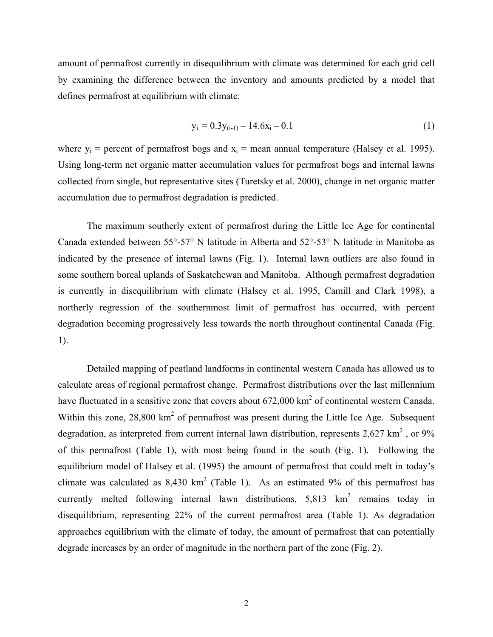amount of permafrost currently in disequilibrium with climate was determined for each grid cell by examining the difference between the inventory and amounts predicted by a model that defines permafrost at equilibrium with climate:

$$
y_i = 0.3y_{(i-1)} - 14.6x_i - 0.1
$$
 (1)

where  $y_i$  = percent of permafrost bogs and  $x_i$  = mean annual temperature (Halsey et al. 1995). Using long-term net organic matter accumulation values for permafrost bogs and internal lawns collected from single, but representative sites (Turetsky et al. 2000), change in net organic matter accumulation due to permafrost degradation is predicted.

The maximum southerly extent of permafrost during the Little Ice Age for continental Canada extended between 55°-57° N latitude in Alberta and 52°-53° N latitude in Manitoba as indicated by the presence of internal lawns (Fig. 1). Internal lawn outliers are also found in some southern boreal uplands of Saskatchewan and Manitoba. Although permafrost degradation is currently in disequilibrium with climate (Halsey et al. 1995, Camill and Clark 1998), a northerly regression of the southernmost limit of permafrost has occurred, with percent degradation becoming progressively less towards the north throughout continental Canada (Fig. 1).

Detailed mapping of peatland landforms in continental western Canada has allowed us to calculate areas of regional permafrost change. Permafrost distributions over the last millennium have fluctuated in a sensitive zone that covers about  $672,000 \text{ km}^2$  of continental western Canada. Within this zone,  $28,800 \text{ km}^2$  of permafrost was present during the Little Ice Age. Subsequent degradation, as interpreted from current internal lawn distribution, represents  $2{,}627 \text{ km}^2$ , or  $9\%$ of this permafrost (Table 1), with most being found in the south (Fig. 1). Following the equilibrium model of Halsey et al. (1995) the amount of permafrost that could melt in today's climate was calculated as  $8,430 \text{ km}^2$  (Table 1). As an estimated 9% of this permafrost has currently melted following internal lawn distributions,  $5,813 \text{ km}^2$  remains today in disequilibrium, representing 22% of the current permafrost area (Table 1). As degradation approaches equilibrium with the climate of today, the amount of permafrost that can potentially degrade increases by an order of magnitude in the northern part of the zone (Fig. 2).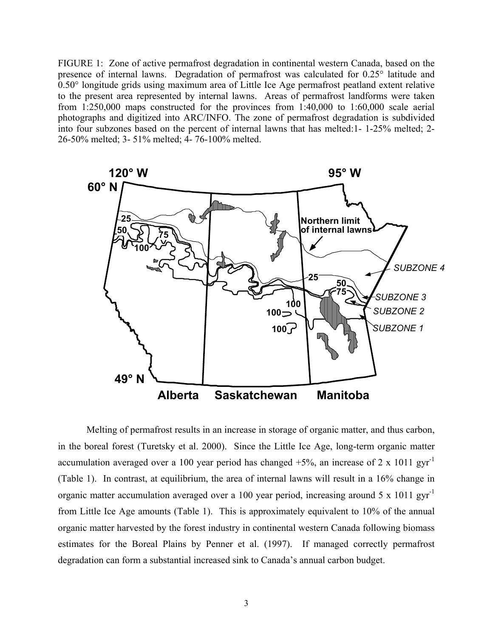FIGURE 1: Zone of active permafrost degradation in continental western Canada, based on the presence of internal lawns. Degradation of permafrost was calculated for 0.25° latitude and 0.50° longitude grids using maximum area of Little Ice Age permafrost peatland extent relative to the present area represented by internal lawns. Areas of permafrost landforms were taken from 1:250,000 maps constructed for the provinces from 1:40,000 to 1:60,000 scale aerial photographs and digitized into ARC/INFO. The zone of permafrost degradation is subdivided into four subzones based on the percent of internal lawns that has melted:1- 1-25% melted; 2- 26-50% melted; 3- 51% melted; 4- 76-100% melted.



Melting of permafrost results in an increase in storage of organic matter, and thus carbon, in the boreal forest (Turetsky et al. 2000). Since the Little Ice Age, long-term organic matter accumulation averaged over a 100 year period has changed  $+5%$ , an increase of 2 x 1011 gyr<sup>-1</sup> (Table 1). In contrast, at equilibrium, the area of internal lawns will result in a 16% change in organic matter accumulation averaged over a 100 year period, increasing around 5 x 1011 gyr-1 from Little Ice Age amounts (Table 1). This is approximately equivalent to 10% of the annual organic matter harvested by the forest industry in continental western Canada following biomass estimates for the Boreal Plains by Penner et al. (1997). If managed correctly permafrost degradation can form a substantial increased sink to Canada's annual carbon budget.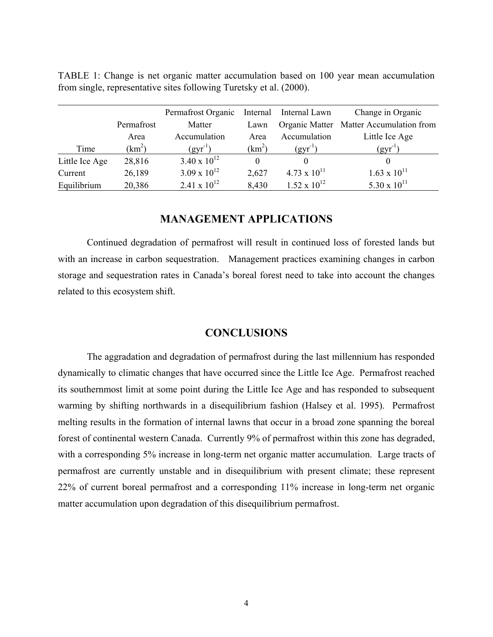|                |            | Permafrost Organic    | Internal           | Internal Lawn         | Change in Organic                       |
|----------------|------------|-----------------------|--------------------|-----------------------|-----------------------------------------|
|                | Permafrost | Matter                | Lawn               |                       | Organic Matter Matter Accumulation from |
|                | Area       | Accumulation          | Area               | Accumulation          | Little Ice Age                          |
| Time           | $(km^2)$   | $(gyr^{-1})$          | (km <sup>2</sup> ) | $(gyr^{-1})$          | $(gyr^{-1})$                            |
| Little Ice Age | 28,816     | $3.40 \times 10^{12}$ | $\Omega$           |                       |                                         |
| Current        | 26,189     | $3.09 \times 10^{12}$ | 2,627              | $4.73 \times 10^{11}$ | $1.63 \times 10^{11}$                   |
| Equilibrium    | 20,386     | 2.41 x $10^{12}$      | 8,430              | $1.52 \times 10^{12}$ | 5.30 x $10^{11}$                        |

TABLE 1: Change is net organic matter accumulation based on 100 year mean accumulation from single, representative sites following Turetsky et al. (2000).

### **MANAGEMENT APPLICATIONS**

Continued degradation of permafrost will result in continued loss of forested lands but with an increase in carbon sequestration. Management practices examining changes in carbon storage and sequestration rates in Canada's boreal forest need to take into account the changes related to this ecosystem shift.

#### **CONCLUSIONS**

The aggradation and degradation of permafrost during the last millennium has responded dynamically to climatic changes that have occurred since the Little Ice Age. Permafrost reached its southernmost limit at some point during the Little Ice Age and has responded to subsequent warming by shifting northwards in a disequilibrium fashion (Halsey et al. 1995). Permafrost melting results in the formation of internal lawns that occur in a broad zone spanning the boreal forest of continental western Canada. Currently 9% of permafrost within this zone has degraded, with a corresponding 5% increase in long-term net organic matter accumulation. Large tracts of permafrost are currently unstable and in disequilibrium with present climate; these represent 22% of current boreal permafrost and a corresponding 11% increase in long-term net organic matter accumulation upon degradation of this disequilibrium permafrost.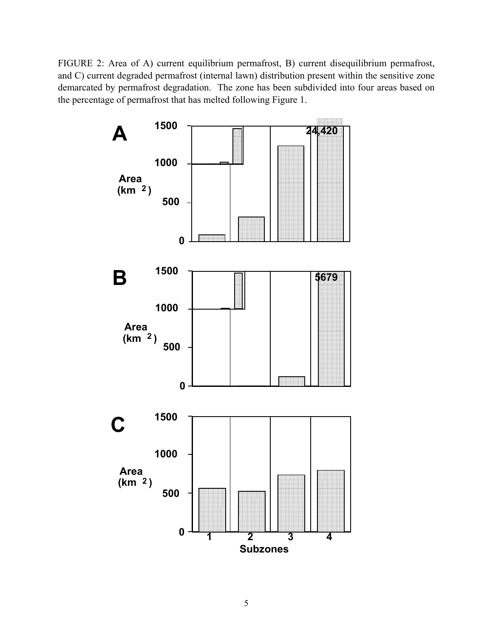FIGURE 2: Area of A) current equilibrium permafrost, B) current disequilibrium permafrost, and C) current degraded permafrost (internal lawn) distribution present within the sensitive zone demarcated by permafrost degradation. The zone has been subdivided into four areas based on the percentage of permafrost that has melted following Figure 1.

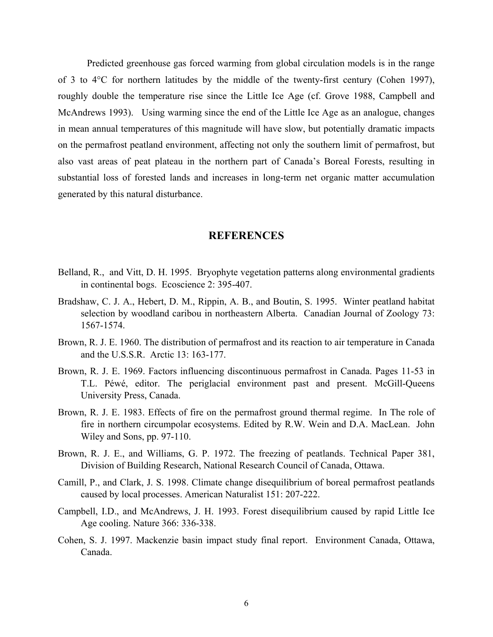Predicted greenhouse gas forced warming from global circulation models is in the range of 3 to 4°C for northern latitudes by the middle of the twenty-first century (Cohen 1997), roughly double the temperature rise since the Little Ice Age (cf. Grove 1988, Campbell and McAndrews 1993). Using warming since the end of the Little Ice Age as an analogue, changes in mean annual temperatures of this magnitude will have slow, but potentially dramatic impacts on the permafrost peatland environment, affecting not only the southern limit of permafrost, but also vast areas of peat plateau in the northern part of Canada's Boreal Forests, resulting in substantial loss of forested lands and increases in long-term net organic matter accumulation generated by this natural disturbance.

#### **REFERENCES**

- Belland, R., and Vitt, D. H. 1995. Bryophyte vegetation patterns along environmental gradients in continental bogs. Ecoscience 2: 395-407.
- Bradshaw, C. J. A., Hebert, D. M., Rippin, A. B., and Boutin, S. 1995. Winter peatland habitat selection by woodland caribou in northeastern Alberta. Canadian Journal of Zoology 73: 1567-1574.
- Brown, R. J. E. 1960. The distribution of permafrost and its reaction to air temperature in Canada and the U.S.S.R. Arctic 13: 163-177.
- Brown, R. J. E. 1969. Factors influencing discontinuous permafrost in Canada. Pages 11-53 in T.L. Péwé, editor. The periglacial environment past and present. McGill-Queens University Press, Canada.
- Brown, R. J. E. 1983. Effects of fire on the permafrost ground thermal regime. In The role of fire in northern circumpolar ecosystems. Edited by R.W. Wein and D.A. MacLean. John Wiley and Sons, pp. 97-110.
- Brown, R. J. E., and Williams, G. P. 1972. The freezing of peatlands. Technical Paper 381, Division of Building Research, National Research Council of Canada, Ottawa.
- Camill, P., and Clark, J. S. 1998. Climate change disequilibrium of boreal permafrost peatlands caused by local processes. American Naturalist 151: 207-222.
- Campbell, I.D., and McAndrews, J. H. 1993. Forest disequilibrium caused by rapid Little Ice Age cooling. Nature 366: 336-338.
- Cohen, S. J. 1997. Mackenzie basin impact study final report. Environment Canada, Ottawa, Canada.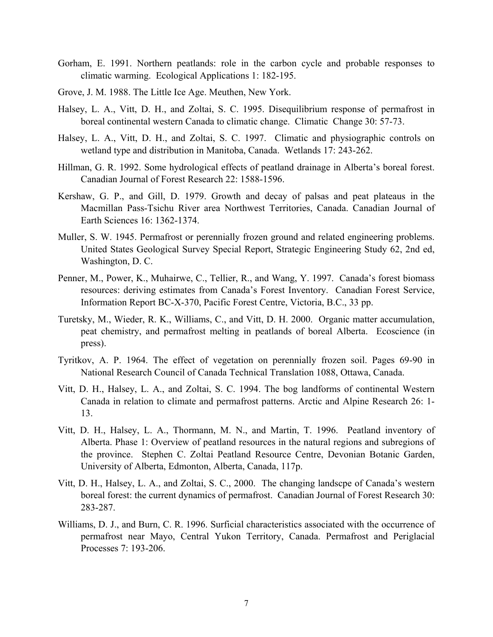- Gorham, E. 1991. Northern peatlands: role in the carbon cycle and probable responses to climatic warming. Ecological Applications 1: 182-195.
- Grove, J. M. 1988. The Little Ice Age. Meuthen, New York.
- Halsey, L. A., Vitt, D. H., and Zoltai, S. C. 1995. Disequilibrium response of permafrost in boreal continental western Canada to climatic change. Climatic Change 30: 57-73.
- Halsey, L. A., Vitt, D. H., and Zoltai, S. C. 1997. Climatic and physiographic controls on wetland type and distribution in Manitoba, Canada. Wetlands 17: 243-262.
- Hillman, G. R. 1992. Some hydrological effects of peatland drainage in Alberta's boreal forest. Canadian Journal of Forest Research 22: 1588-1596.
- Kershaw, G. P., and Gill, D. 1979. Growth and decay of palsas and peat plateaus in the Macmillan Pass-Tsichu River area Northwest Territories, Canada. Canadian Journal of Earth Sciences 16: 1362-1374.
- Muller, S. W. 1945. Permafrost or perennially frozen ground and related engineering problems. United States Geological Survey Special Report, Strategic Engineering Study 62, 2nd ed, Washington, D. C.
- Penner, M., Power, K., Muhairwe, C., Tellier, R., and Wang, Y. 1997. Canada's forest biomass resources: deriving estimates from Canada's Forest Inventory. Canadian Forest Service, Information Report BC-X-370, Pacific Forest Centre, Victoria, B.C., 33 pp.
- Turetsky, M., Wieder, R. K., Williams, C., and Vitt, D. H. 2000. Organic matter accumulation, peat chemistry, and permafrost melting in peatlands of boreal Alberta. Ecoscience (in press).
- Tyritkov, A. P. 1964. The effect of vegetation on perennially frozen soil. Pages 69-90 in National Research Council of Canada Technical Translation 1088, Ottawa, Canada.
- Vitt, D. H., Halsey, L. A., and Zoltai, S. C. 1994. The bog landforms of continental Western Canada in relation to climate and permafrost patterns. Arctic and Alpine Research 26: 1- 13.
- Vitt, D. H., Halsey, L. A., Thormann, M. N., and Martin, T. 1996. Peatland inventory of Alberta. Phase 1: Overview of peatland resources in the natural regions and subregions of the province. Stephen C. Zoltai Peatland Resource Centre, Devonian Botanic Garden, University of Alberta, Edmonton, Alberta, Canada, 117p.
- Vitt, D. H., Halsey, L. A., and Zoltai, S. C., 2000. The changing landscpe of Canada's western boreal forest: the current dynamics of permafrost. Canadian Journal of Forest Research 30: 283-287.
- Williams, D. J., and Burn, C. R. 1996. Surficial characteristics associated with the occurrence of permafrost near Mayo, Central Yukon Territory, Canada. Permafrost and Periglacial Processes 7: 193-206.